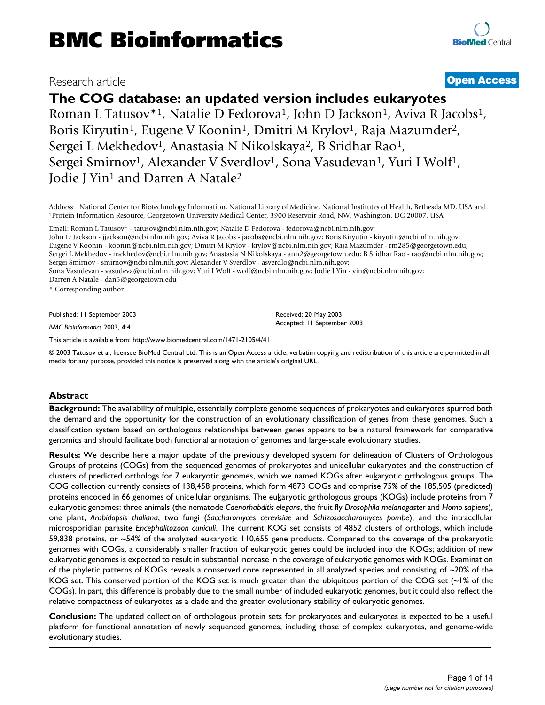# Research article **[Open Access](http://www.biomedcentral.com/info/about/charter/)**

# **The COG database: an updated version includes eukaryotes**

Roman L Tatusov<sup>\*1</sup>, Natalie D Fedorova<sup>1</sup>, John D Jackson<sup>1</sup>, Aviva R Jacobs<sup>1</sup>, Boris Kiryutin<sup>1</sup>, Eugene V Koonin<sup>1</sup>, Dmitri M Krylov<sup>1</sup>, Raja Mazumder<sup>2</sup>, Sergei L Mekhedov<sup>1</sup>, Anastasia N Nikolskaya<sup>2</sup>, B Sridhar Rao<sup>1</sup>, Sergei Smirnov<sup>1</sup>, Alexander V Sverdlov<sup>1</sup>, Sona Vasudevan<sup>1</sup>, Yuri I Wolf<sup>1</sup>, Jodie J Yin1 and Darren A Natale2

Address: <sup>1</sup>National Center for Biotechnology Information, National Library of Medicine, National Institutes of Health, Bethesda MD, USA and <sup>2</sup>Protein Information Resource, Georgetown University Medical Center, 3900 Reser

Email: Roman L Tatusov\* - tatusov@ncbi.nlm.nih.gov; Natalie D Fedorova - fedorova@ncbi.nlm.nih.gov; John D Jackson - jjackson@ncbi.nlm.nih.gov; Aviva R Jacobs - jacobs@ncbi.nlm.nih.gov; Boris Kiryutin - kiryutin@ncbi.nlm.nih.gov; Eugene V Koonin - koonin@ncbi.nlm.nih.gov; Dmitri M Krylov - krylov@ncbi.nlm.nih.gov; Raja Mazumder - rm285@georgetown.edu; Sergei L Mekhedov - mekhedov@ncbi.nlm.nih.gov; Anastasia N Nikolskaya - ann2@georgetown.edu; B Sridhar Rao - rao@ncbi.nlm.nih.gov; Sergei Smirnov - smirnov@ncbi.nlm.nih.gov; Alexander V Sverdlov - asverdlo@ncbi.nlm.nih.gov; Sona Vasudevan - vasudeva@ncbi.nlm.nih.gov; Yuri I Wolf - wolf@ncbi.nlm.nih.gov; Jodie J Yin - yin@ncbi.nlm.nih.gov; Darren A Natale - dan5@georgetown.edu \* Corresponding author

Published: 11 September 2003

*BMC Bioinformatics* 2003, **4**:41

[This article is available from: http://www.biomedcentral.com/1471-2105/4/41](http://www.biomedcentral.com/1471-2105/4/41)

© 2003 Tatusov et al; licensee BioMed Central Ltd. This is an Open Access article: verbatim copying and redistribution of this article are permitted in all media for any purpose, provided this notice is preserved along with the article's original URL.

Received: 20 May 2003 Accepted: 11 September 2003

# **Abstract**

**Background:** The availability of multiple, essentially complete genome sequences of prokaryotes and eukaryotes spurred both the demand and the opportunity for the construction of an evolutionary classification of genes from these genomes. Such a classification system based on orthologous relationships between genes appears to be a natural framework for comparative genomics and should facilitate both functional annotation of genomes and large-scale evolutionary studies.

**Results:** We describe here a major update of the previously developed system for delineation of Clusters of Orthologous Groups of proteins (COGs) from the sequenced genomes of prokaryotes and unicellular eukaryotes and the construction of clusters of predicted orthologs for 7 eukaryotic genomes, which we named KOGs after eukaryotic orthologous groups. The COG collection currently consists of 138,458 proteins, which form 4873 COGs and comprise 75% of the 185,505 (predicted) proteins encoded in 66 genomes of unicellular organisms. The eukaryotic orthologous groups (KOGs) include proteins from 7 eukaryotic genomes: three animals (the nematode *Caenorhabditis elegans*, the fruit fly *Drosophila melanogaster* and *Homo sapiens*), one plant, *Arabidopsis thaliana*, two fungi (*Saccharomyces cerevisiae* and *Schizosaccharomyces pombe*), and the intracellular microsporidian parasite *Encephalitozoon cuniculi*. The current KOG set consists of 4852 clusters of orthologs, which include 59,838 proteins, or ~54% of the analyzed eukaryotic 110,655 gene products. Compared to the coverage of the prokaryotic genomes with COGs, a considerably smaller fraction of eukaryotic genes could be included into the KOGs; addition of new eukaryotic genomes is expected to result in substantial increase in the coverage of eukaryotic genomes with KOGs. Examination of the phyletic patterns of KOGs reveals a conserved core represented in all analyzed species and consisting of  $\sim$ 20% of the KOG set. This conserved portion of the KOG set is much greater than the ubiquitous portion of the COG set (~1% of the COGs). In part, this difference is probably due to the small number of included eukaryotic genomes, but it could also reflect the relative compactness of eukaryotes as a clade and the greater evolutionary stability of eukaryotic genomes.

**Conclusion:** The updated collection of orthologous protein sets for prokaryotes and eukaryotes is expected to be a useful platform for functional annotation of newly sequenced genomes, including those of complex eukaryotes, and genome-wide evolutionary studies.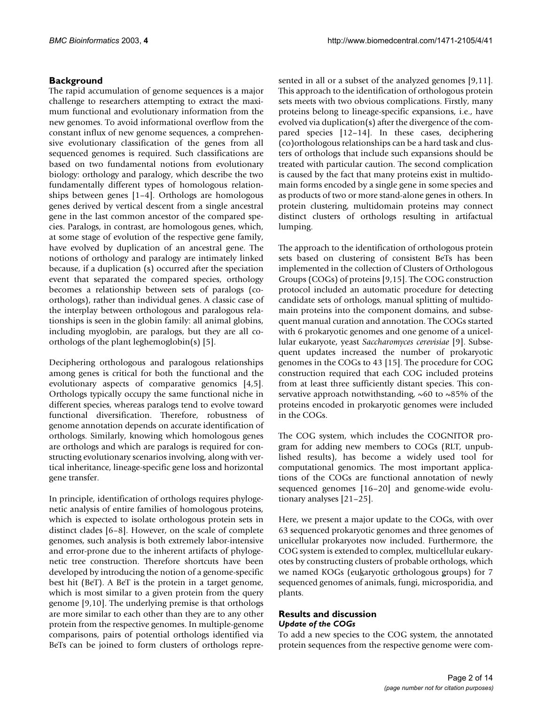# **Background**

The rapid accumulation of genome sequences is a major challenge to researchers attempting to extract the maximum functional and evolutionary information from the new genomes. To avoid informational overflow from the constant influx of new genome sequences, a comprehensive evolutionary classification of the genes from all sequenced genomes is required. Such classifications are based on two fundamental notions from evolutionary biology: orthology and paralogy, which describe the two fundamentally different types of homologous relationships between genes [1–4]. Orthologs are homologous genes derived by vertical descent from a single ancestral gene in the last common ancestor of the compared species. Paralogs, in contrast, are homologous genes, which, at some stage of evolution of the respective gene family, have evolved by duplication of an ancestral gene. The notions of orthology and paralogy are intimately linked because, if a duplication (s) occurred after the speciation event that separated the compared species, orthology becomes a relationship between sets of paralogs (coorthologs), rather than individual genes. A classic case of the interplay between orthologous and paralogous relationships is seen in the globin family: all animal globins, including myoglobin, are paralogs, but they are all coorthologs of the plant leghemoglobin(s) [5].

Deciphering orthologous and paralogous relationships among genes is critical for both the functional and the evolutionary aspects of comparative genomics [4,5]. Orthologs typically occupy the same functional niche in different species, whereas paralogs tend to evolve toward functional diversification. Therefore, robustness of genome annotation depends on accurate identification of orthologs. Similarly, knowing which homologous genes are orthologs and which are paralogs is required for constructing evolutionary scenarios involving, along with vertical inheritance, lineage-specific gene loss and horizontal gene transfer.

In principle, identification of orthologs requires phylogenetic analysis of entire families of homologous proteins, which is expected to isolate orthologous protein sets in distinct clades [6–8]. However, on the scale of complete genomes, such analysis is both extremely labor-intensive and error-prone due to the inherent artifacts of phylogenetic tree construction. Therefore shortcuts have been developed by introducing the notion of a genome-specific best hit (BeT). A BeT is the protein in a target genome, which is most similar to a given protein from the query genome [9,10]. The underlying premise is that orthologs are more similar to each other than they are to any other protein from the respective genomes. In multiple-genome comparisons, pairs of potential orthologs identified via BeTs can be joined to form clusters of orthologs represented in all or a subset of the analyzed genomes [9,11]. This approach to the identification of orthologous protein sets meets with two obvious complications. Firstly, many proteins belong to lineage-specific expansions, i.e., have evolved via duplication(s) after the divergence of the compared species [12–14]. In these cases, deciphering (co)orthologous relationships can be a hard task and clusters of orthologs that include such expansions should be treated with particular caution. The second complication is caused by the fact that many proteins exist in multidomain forms encoded by a single gene in some species and as products of two or more stand-alone genes in others. In protein clustering, multidomain proteins may connect distinct clusters of orthologs resulting in artifactual lumping.

The approach to the identification of orthologous protein sets based on clustering of consistent BeTs has been implemented in the collection of Clusters of Orthologous Groups (COGs) of proteins [9,15]. The COG construction protocol included an automatic procedure for detecting candidate sets of orthologs, manual splitting of multidomain proteins into the component domains, and subsequent manual curation and annotation. The COGs started with 6 prokaryotic genomes and one genome of a unicellular eukaryote, yeast *Saccharomyces cerevisiae* [9]. Subsequent updates increased the number of prokaryotic genomes in the COGs to 43 [15]. The procedure for COG construction required that each COG included proteins from at least three sufficiently distant species. This conservative approach notwithstanding,  $\sim 60$  to  $\sim 85\%$  of the proteins encoded in prokaryotic genomes were included in the COGs.

The COG system, which includes the COGNITOR program for adding new members to COGs (RLT, unpublished results), has become a widely used tool for computational genomics. The most important applications of the COGs are functional annotation of newly sequenced genomes [16–20] and genome-wide evolutionary analyses [21–25].

Here, we present a major update to the COGs, with over 63 sequenced prokaryotic genomes and three genomes of unicellular prokaryotes now included. Furthermore, the COG system is extended to complex, multicellular eukaryotes by constructing clusters of probable orthologs, which we named KOGs (eukaryotic orthologous groups) for 7 sequenced genomes of animals, fungi, microsporidia, and plants.

#### **Results and discussion** *Update of the COGs*

To add a new species to the COG system, the annotated protein sequences from the respective genome were com-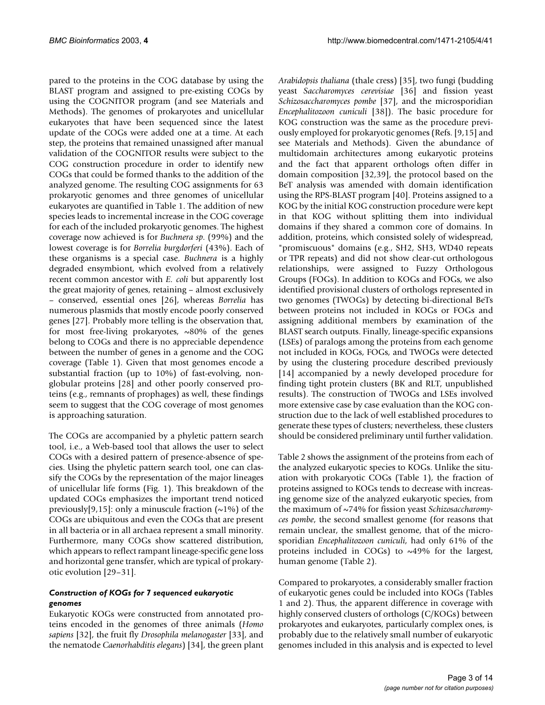pared to the proteins in the COG database by using the BLAST program and assigned to pre-existing COGs by using the COGNITOR program (and see Materials and Methods). The genomes of prokaryotes and unicellular eukaryotes that have been sequenced since the latest update of the COGs were added one at a time. At each step, the proteins that remained unassigned after manual validation of the COGNITOR results were subject to the COG construction procedure in order to identify new COGs that could be formed thanks to the addition of the analyzed genome. The resulting COG assignments for 63 prokaryotic genomes and three genomes of unicellular eukaryotes are quantified in Table [1.](#page-3-0) The addition of new species leads to incremental increase in the COG coverage for each of the included prokaryotic genomes. The highest coverage now achieved is for *Buchnera sp*. (99%) and the lowest coverage is for *Borrelia burgdorferi* (43%). Each of these organisms is a special case. *Buchnera* is a highly degraded ensymbiont, which evolved from a relatively recent common ancestor with *E. coli* but apparently lost the great majority of genes, retaining – almost exclusively – conserved, essential ones [26], whereas *Borrelia* has numerous plasmids that mostly encode poorly conserved genes [27]. Probably more telling is the observation that, for most free-living prokaryotes,  $\sim80\%$  of the genes belong to COGs and there is no appreciable dependence between the number of genes in a genome and the COG coverage (Table [1](#page-3-0)). Given that most genomes encode a substantial fraction (up to 10%) of fast-evolving, nonglobular proteins [28] and other poorly conserved proteins (e.g., remnants of prophages) as well, these findings seem to suggest that the COG coverage of most genomes is approaching saturation.

The COGs are accompanied by a phyletic pattern search tool, i.e., a Web-based tool that allows the user to select COGs with a desired pattern of presence-absence of species. Using the phyletic pattern search tool, one can classify the COGs by the representation of the major lineages of unicellular life forms (Fig. 1). This breakdown of the updated COGs emphasizes the important trend noticed previously[9,15]: only a minuscule fraction  $(\sim 1\%)$  of the COGs are ubiquitous and even the COGs that are present in all bacteria or in all archaea represent a small minority. Furthermore, many COGs show scattered distribution, which appears to reflect rampant lineage-specific gene loss and horizontal gene transfer, which are typical of prokaryotic evolution [29–31].

# *Construction of KOGs for 7 sequenced eukaryotic genomes*

Eukaryotic KOGs were constructed from annotated proteins encoded in the genomes of three animals (*Homo sapiens* [32], the fruit fly *Drosophila melanogaster* [33], and the nematode *Caenorhabditis elegans*) [34], the green plant

*Arabidopsis thaliana* (thale cress) [35], two fungi (budding yeast *Saccharomyces cerevisiae* [36] and fission yeast *Schizosaccharomyces pombe* [37], and the microsporidian *Encephalitozoon cuniculi* [38]). The basic procedure for KOG construction was the same as the procedure previously employed for prokaryotic genomes (Refs. [9,15] and see Materials and Methods). Given the abundance of multidomain architectures among eukaryotic proteins and the fact that apparent orthologs often differ in domain composition [32,39], the protocol based on the BeT analysis was amended with domain identification using the RPS-BLAST program [40]. Proteins assigned to a KOG by the initial KOG construction procedure were kept in that KOG without splitting them into individual domains if they shared a common core of domains. In addition, proteins, which consisted solely of widespread, "promiscuous" domains (e.g., SH2, SH3, WD40 repeats or TPR repeats) and did not show clear-cut orthologous relationships, were assigned to Fuzzy Orthologous Groups (FOGs). In addition to KOGs and FOGs, we also identified provisional clusters of orthologs represented in two genomes (TWOGs) by detecting bi-directional BeTs between proteins not included in KOGs or FOGs and assigning additional members by examination of the BLAST search outputs. Finally, lineage-specific expansions (LSEs) of paralogs among the proteins from each genome not included in KOGs, FOGs, and TWOGs were detected by using the clustering procedure described previously [14] accompanied by a newly developed procedure for finding tight protein clusters (BK and RLT, unpublished results). The construction of TWOGs and LSEs involved more extensive case by case evaluation than the KOG construction due to the lack of well established procedures to generate these types of clusters; nevertheless, these clusters should be considered preliminary until further validation.

Table [2](#page-5-0) shows the assignment of the proteins from each of the analyzed eukaryotic species to KOGs. Unlike the situation with prokaryotic COGs (Table [1\)](#page-3-0), the fraction of proteins assigned to KOGs tends to decrease with increasing genome size of the analyzed eukaryotic species, from the maximum of ~74% for fission yeast *Schizosaccharomyces pombe*, the second smallest genome (for reasons that remain unclear, the smallest genome, that of the microsporidian *Encephalitozoon cuniculi*, had only 61% of the proteins included in COGs) to  $\sim$ 49% for the largest, human genome (Table [2](#page-5-0)).

Compared to prokaryotes, a considerably smaller fraction of eukaryotic genes could be included into KOGs (Tables [1](#page-3-0) and [2](#page-5-0)). Thus, the apparent difference in coverage with highly conserved clusters of orthologs (C/KOGs) between prokaryotes and eukaryotes, particularly complex ones, is probably due to the relatively small number of eukaryotic genomes included in this analysis and is expected to level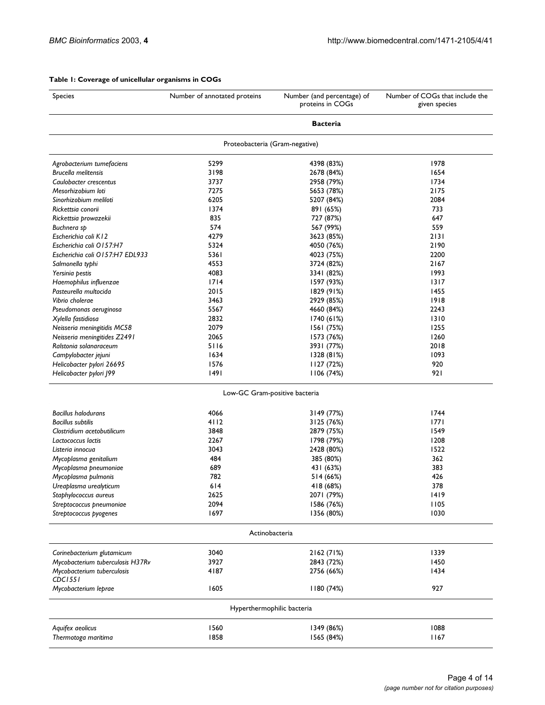| Species                          | Number of annotated proteins   | Number (and percentage) of<br>proteins in COGs | Number of COGs that include the<br>given species |
|----------------------------------|--------------------------------|------------------------------------------------|--------------------------------------------------|
|                                  |                                | <b>Bacteria</b>                                |                                                  |
|                                  | Proteobacteria (Gram-negative) |                                                |                                                  |
| Agrobacterium tumefaciens        | 5299                           | 4398 (83%)                                     | 1978                                             |
| <b>Brucella melitensis</b>       | 3198                           | 2678 (84%)                                     | 1654                                             |
| Caulobacter crescentus           | 3737                           | 2958 (79%)                                     | 1734                                             |
| Mesorhizobium loti               | 7275                           | 5653 (78%)                                     | 2175                                             |
| Sinorhizobium meliloti           | 6205                           | 5207 (84%)                                     | 2084                                             |
| Rickettsia conorii               | 1374                           | 891 (65%)                                      | 733                                              |
| Rickettsia prowazekii            | 835                            | 727 (87%)                                      | 647                                              |
| Buchnera sp                      | 574                            | 567 (99%)                                      | 559                                              |
| Escherichia coli K12             | 4279                           | 3623 (85%)                                     | 2131                                             |
| Escherichia coli O157:H7         | 5324                           | 4050 (76%)                                     | 2190                                             |
| Escherichia coli O157:H7 EDL933  | 5361                           | 4023 (75%)                                     | 2200                                             |
| Salmonella typhi                 | 4553                           | 3724 (82%)                                     | 2167                                             |
| Yersinia pestis                  | 4083                           | 3341 (82%)                                     | 1993                                             |
| Haemophilus influenzae           | 1714                           | 1597 (93%)                                     | $1317$                                           |
| Pasteurella multocida            | 2015                           | 1829 (91%)                                     | 1455                                             |
| Vibrio cholerae                  | 3463                           | 2929 (85%)                                     | 1918                                             |
| Pseudomonas aeruginosa           | 5567                           | 4660 (84%)                                     | 2243                                             |
| Xylella fastidiosa               | 2832                           | 1740(61%)                                      | 1310                                             |
| Neisseria meningitidis MC58      | 2079                           | 1561 (75%)                                     | 1255                                             |
| Neisseria meningitides Z2491     | 2065                           | 1573 (76%)                                     | 1260                                             |
| Ralstonia solanaraceum           | 5116                           | 3931 (77%)                                     | 2018                                             |
| Campylobacter jejuni             | 1634                           | 1328 (81%)                                     | 1093                                             |
| Helicobacter pylori 26695        | 1576                           | 1127(72%)                                      | 920                                              |
| Helicobacter pylori J99          | 1491                           | 1106 (74%)                                     | 921                                              |
|                                  | Low-GC Gram-positive bacteria  |                                                |                                                  |
|                                  |                                |                                                |                                                  |
| <b>Bacillus halodurans</b>       | 4066                           | 3149 (77%)                                     | 1744                                             |
| <b>Bacillus subtilis</b>         | 4112                           | 3125 (76%)                                     | 1771                                             |
| Clostridium acetobutilicum       | 3848                           | 2879 (75%)                                     | 1549                                             |
| Lactococcus lactis               | 2267                           | 1798 (79%)                                     | 1208                                             |
| Listeria innocua                 | 3043                           | 2428 (80%)                                     | 1522                                             |
| Mycoplasma genitalium            | 484                            | 385 (80%)                                      | 362                                              |
| Mycoplasma pneumoniae            | 689                            | 431 (63%)                                      | 383                                              |
| Mycoplasma pulmonis              | 782                            | 514 (66%)                                      | 426                                              |
| Ureaplasma urealyticum           | 614                            | 418 (68%)                                      | 378                                              |
| Staphylococcus aureus            | 2625                           | 2071 (79%)                                     | 1419                                             |
| Streptococcus pneumoniae         | 2094                           | 1586 (76%)                                     | 1105                                             |
| Streptococcus pyogenes           | 1697                           | 1356 (80%)                                     | 1030                                             |
|                                  | Actinobacteria                 |                                                |                                                  |
| Corinebacterium glutamicum       | 3040                           | 2162 (71%)                                     | 1339                                             |
| Mycobacterium tuberculosis H37Rv | 3927                           | 2843 (72%)                                     | 1450                                             |
| Mycobacterium tuberculosis       | 4187                           | 2756 (66%)                                     | 1434                                             |
| CDC1551                          |                                |                                                |                                                  |
| Mycobacterium leprae             | 1605                           | 1180(74%)                                      | 927                                              |
|                                  | Hyperthermophilic bacteria     |                                                |                                                  |
| Aquifex aeolicus                 | 1560                           | 1349 (86%)                                     | 1088                                             |
| Thermotoga maritima              | 1858                           | 1565 (84%)                                     | 1167                                             |

### <span id="page-3-0"></span>**Table 1: Coverage of unicellular organisms in COGs**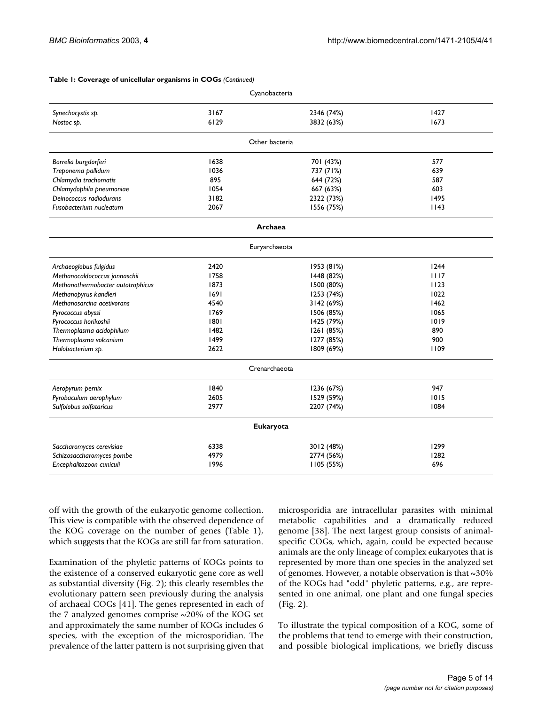#### **Table 1: Coverage of unicellular organisms in COGs** *(Continued)*

|                                   |      | Cyanobacteria  |      |
|-----------------------------------|------|----------------|------|
|                                   |      |                |      |
| Synechocystis sp.                 | 3167 | 2346 (74%)     | 1427 |
| Nostoc sp.                        | 6129 | 3832 (63%)     | 1673 |
|                                   |      | Other bacteria |      |
| Borrelia burgdorferi              | 1638 | 701 (43%)      | 577  |
| Treponema pallidum                | 1036 | 737 (71%)      | 639  |
| Chlamydia trachomatis             | 895  | 644 (72%)      | 587  |
| Chlamydophila pneumoniae          | 1054 | 667 (63%)      | 603  |
| Deinococcus radiodurans           | 3182 | 2322 (73%)     | 1495 |
| Fusobacterium nucleatum           | 2067 | 1556 (75%)     | 1143 |
|                                   |      | Archaea        |      |
|                                   |      | Euryarchaeota  |      |
| Archaeoglobus fulgidus            | 2420 | 1953 (81%)     | 1244 |
| Methanocaldococcus jannaschii     | 1758 | 1448 (82%)     | 1117 |
| Methanothermobacter autotrophicus | 1873 | 1500 (80%)     | 1123 |
| Methanopyrus kandleri             | 1691 | 1253 (74%)     | 1022 |
| Methanosarcina acetivorans        | 4540 | 3142 (69%)     | 1462 |
| Pyrococcus abyssi                 | 1769 | 1506 (85%)     | 1065 |
| Pyrococcus horikoshii             | 1801 | 1425 (79%)     | 1019 |
| Thermoplasma acidophilum          | 1482 | 1261 (85%)     | 890  |
| Thermoplasma volcanium            | 1499 | 1277 (85%)     | 900  |
| Halobacterium sp.                 | 2622 | 1809 (69%)     | 1109 |
|                                   |      | Crenarchaeota  |      |
| Aeropyrum pernix                  | 1840 | 1236 (67%)     | 947  |
| Pyrobaculum aerophylum            | 2605 | 1529 (59%)     | 1015 |
| Sulfolobus solfataricus           | 2977 | 2207 (74%)     | 1084 |
|                                   |      | Eukaryota      |      |
| Saccharomyces cerevisiae          | 6338 | 3012 (48%)     | 1299 |
| Schizosaccharomyces pombe         | 4979 | 2774 (56%)     | 1282 |
| Encephalitozoon cuniculi          | 1996 | 1105 (55%)     | 696  |
|                                   |      |                |      |

off with the growth of the eukaryotic genome collection. This view is compatible with the observed dependence of the KOG coverage on the number of genes (Table [1\)](#page-3-0), which suggests that the KOGs are still far from saturation.

Examination of the phyletic patterns of KOGs points to the existence of a conserved eukaryotic gene core as well as substantial diversity (Fig. 2); this clearly resembles the evolutionary pattern seen previously during the analysis of archaeal COGs [41]. The genes represented in each of the 7 analyzed genomes comprise ~20% of the KOG set and approximately the same number of KOGs includes 6 species, with the exception of the microsporidian. The prevalence of the latter pattern is not surprising given that microsporidia are intracellular parasites with minimal metabolic capabilities and a dramatically reduced genome [38]. The next largest group consists of animalspecific COGs, which, again, could be expected because animals are the only lineage of complex eukaryotes that is represented by more than one species in the analyzed set of genomes. However, a notable observation is that  $\sim$ 30% of the KOGs had "odd" phyletic patterns, e.g., are represented in one animal, one plant and one fungal species (Fig. 2).

To illustrate the typical composition of a KOG, some of the problems that tend to emerge with their construction, and possible biological implications, we briefly discuss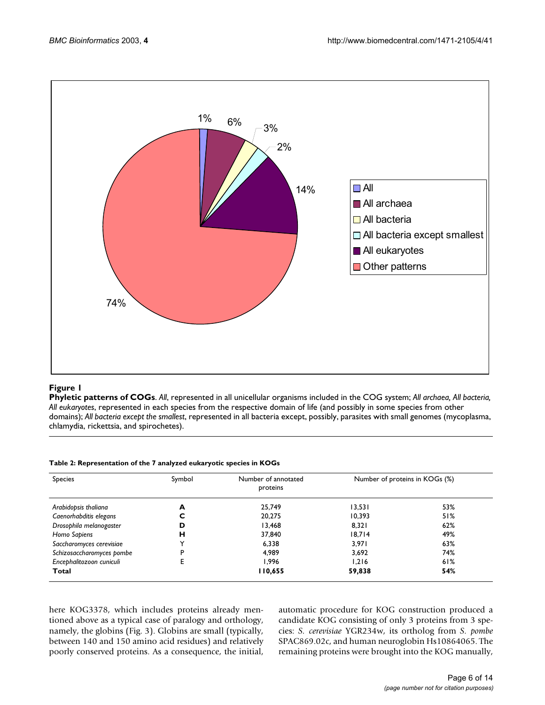

#### **Figure 1**

**Phyletic patterns of COGs**. *All*, represented in all unicellular organisms included in the COG system; *All archaea, All bacteria, All eukaryotes*, represented in each species from the respective domain of life (and possibly in some species from other domains); *All bacteria except the smallest*, represented in all bacteria except, possibly, parasites with small genomes (mycoplasma, chlamydia, rickettsia, and spirochetes).

#### <span id="page-5-0"></span>**Table 2: Representation of the 7 analyzed eukaryotic species in KOGs**

| <b>Species</b>            | Symbol | Number of annotated<br>proteins | Number of proteins in KOGs (%) |     |  |  |
|---------------------------|--------|---------------------------------|--------------------------------|-----|--|--|
| Arabidopsis thaliana      | A      | 25.749                          | 13.531                         | 53% |  |  |
| Caenorhabditis elegans    | c      | 20,275                          | 10.393                         | 51% |  |  |
| Drosophila melanogaster   | D      | 13,468                          | 8.321                          | 62% |  |  |
| Homo Sapiens              | н      | 37,840                          | 18.714                         | 49% |  |  |
| Saccharomyces cerevisiae  |        | 6.338                           | 3.971                          | 63% |  |  |
| Schizosaccharomyces pombe | P      | 4.989                           | 3.692                          | 74% |  |  |
| Encephalitozoon cuniculi  | Е      | 1.996                           | 1.216                          | 61% |  |  |
| Total                     |        | 110,655                         | 59,838                         | 54% |  |  |

here KOG3378, which includes proteins already mentioned above as a typical case of paralogy and orthology, namely, the globins (Fig. 3). Globins are small (typically, between 140 and 150 amino acid residues) and relatively poorly conserved proteins. As a consequence, the initial, automatic procedure for KOG construction produced a candidate KOG consisting of only 3 proteins from 3 species: *S. cerevisiae* YGR234w, its ortholog from *S. pombe* SPAC869.02c, and human neuroglobin Hs10864065. The remaining proteins were brought into the KOG manually,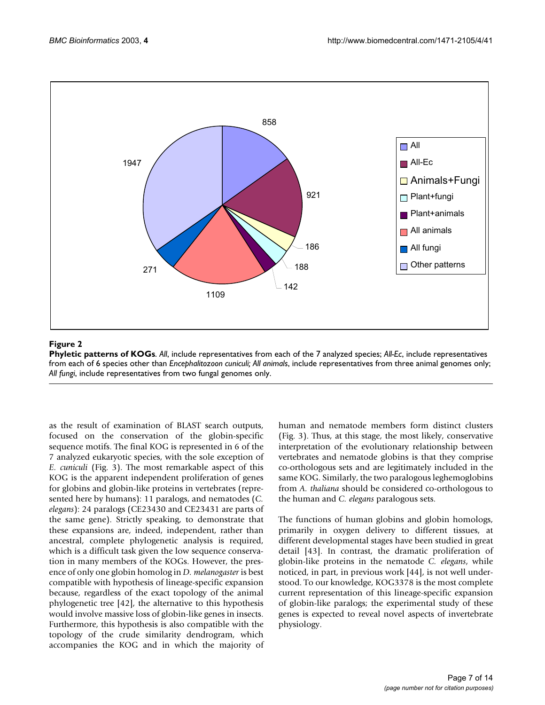

#### **Figure 2**

**Phyletic patterns of KOGs**. *All*, include representatives from each of the 7 analyzed species; *All-Ec*, include representatives from each of 6 species other than *Encephalitozoon cuniculi; All animals*, include representatives from three animal genomes only; *All fungi*, include representatives from two fungal genomes only.

as the result of examination of BLAST search outputs, focused on the conservation of the globin-specific sequence motifs. The final KOG is represented in 6 of the 7 analyzed eukaryotic species, with the sole exception of *E. cuniculi* (Fig. 3). The most remarkable aspect of this KOG is the apparent independent proliferation of genes for globins and globin-like proteins in vertebrates (represented here by humans): 11 paralogs, and nematodes (*C. elegans*): 24 paralogs (CE23430 and CE23431 are parts of the same gene). Strictly speaking, to demonstrate that these expansions are, indeed, independent, rather than ancestral, complete phylogenetic analysis is required, which is a difficult task given the low sequence conservation in many members of the KOGs. However, the presence of only one globin homolog in *D. melanogaster* is best compatible with hypothesis of lineage-specific expansion because, regardless of the exact topology of the animal phylogenetic tree [42], the alternative to this hypothesis would involve massive loss of globin-like genes in insects. Furthermore, this hypothesis is also compatible with the topology of the crude similarity dendrogram, which accompanies the KOG and in which the majority of human and nematode members form distinct clusters (Fig. 3). Thus, at this stage, the most likely, conservative interpretation of the evolutionary relationship between vertebrates and nematode globins is that they comprise co-orthologous sets and are legitimately included in the same KOG. Similarly, the two paralogous leghemoglobins from *A. thaliana* should be considered co-orthologous to the human and *C. elegans* paralogous sets.

The functions of human globins and globin homologs, primarily in oxygen delivery to different tissues, at different developmental stages have been studied in great detail [43]. In contrast, the dramatic proliferation of globin-like proteins in the nematode *C. elegans*, while noticed, in part, in previous work [44], is not well understood. To our knowledge, KOG3378 is the most complete current representation of this lineage-specific expansion of globin-like paralogs; the experimental study of these genes is expected to reveal novel aspects of invertebrate physiology.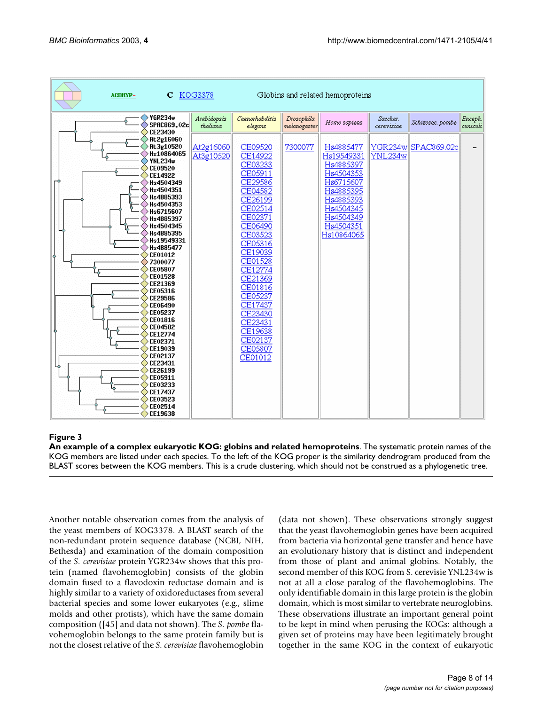| <b>ACDHYP-</b> |                                                                                                                                                                                                                                                                                                                                                                                                                                                                                             | C KOG3378               |                                                                                                                                                                                                                                                                                 |                            | Globins and related hemoproteins                                                                                                              |                        |                     |                     |
|----------------|---------------------------------------------------------------------------------------------------------------------------------------------------------------------------------------------------------------------------------------------------------------------------------------------------------------------------------------------------------------------------------------------------------------------------------------------------------------------------------------------|-------------------------|---------------------------------------------------------------------------------------------------------------------------------------------------------------------------------------------------------------------------------------------------------------------------------|----------------------------|-----------------------------------------------------------------------------------------------------------------------------------------------|------------------------|---------------------|---------------------|
|                | YGR234u<br>SPAC869.02c<br>CE23430                                                                                                                                                                                                                                                                                                                                                                                                                                                           | Arabidopsis<br>thaliana | Caenorhabditis<br>elegans                                                                                                                                                                                                                                                       | Drosophila<br>melanogaster | Homo sapiens                                                                                                                                  | Sacchar.<br>cerevisiae | Schizosac. pombe    | Enceph.<br>cuniculi |
|                | <b>At2g16060</b><br>ft.3g10520<br>Hs10864065<br><b>YNL234w</b><br>CE09520<br>CE14922<br>Hs4504349<br>Hs4504351<br>Hs4885393<br>Hs4504353<br>Hs6715607<br>Hs4885397<br>Hs4504345<br>Hs4885395<br>Hs19549331<br>Hs4885477<br>CE01012<br>7300077<br>CE05807<br>CE01528<br>CE21369<br>CE05316<br>CE29586<br>CE06490<br>CE05237<br>CE01816<br>CE04582<br>CE12774<br>CE02371<br>CE19039<br>CE02137<br>CE23431<br>CE26199<br><b>CE05911</b><br>CE03233<br>CE17437<br>CE03523<br>CE02514<br>CE19638 | At2g16060<br>At3g10520  | CE09520<br>CE14922<br>CE03233<br>CE05911<br>CE29586<br>CE04582<br>CE26199<br>CE02514<br>CE02371<br>CE06490<br>CE03523<br>CE05316<br>CE19039<br>CE01528<br>CE12774<br>CE21369<br>CE01816<br>CE05237<br>CE17437<br>CE23430<br>CE23431<br>CE19638<br>CE02137<br>CE05807<br>CE01012 | 7300077                    | Hs4885477<br>Hs19549331<br>Hs4885397<br>Hs4504353<br>Hs6715607<br>Hs4885395<br>Hs4885393<br>Hs4504345<br>Hs4504349<br>Hs4504351<br>Hs10864065 | YNL234w                | YGR234w SPAC869.02c |                     |

#### An example of a complex eukaryotic **Figure 3** KOG: globins and related hemoproteins

**An example of a complex eukaryotic KOG: globins and related hemoproteins**. The systematic protein names of the KOG members are listed under each species. To the left of the KOG proper is the similarity dendrogram produced from the BLAST scores between the KOG members. This is a crude clustering, which should not be construed as a phylogenetic tree.

Another notable observation comes from the analysis of the yeast members of KOG3378. A BLAST search of the non-redundant protein sequence database (NCBI, NIH, Bethesda) and examination of the domain composition of the *S. cerevisiae* protein YGR234w shows that this protein (named flavohemoglobin) consists of the globin domain fused to a flavodoxin reductase domain and is highly similar to a variety of oxidoreductases from several bacterial species and some lower eukaryotes (e.g., slime molds and other protists), which have the same domain composition ([45] and data not shown). The *S. pombe* flavohemoglobin belongs to the same protein family but is not the closest relative of the *S. cerevisiae* flavohemoglobin (data not shown). These observations strongly suggest that the yeast flavohemoglobin genes have been acquired from bacteria via horizontal gene transfer and hence have an evolutionary history that is distinct and independent from those of plant and animal globins. Notably, the second member of this KOG from S. cerevisie YNL234w is not at all a close paralog of the flavohemoglobins. The only identifiable domain in this large protein is the globin domain, which is most similar to vertebrate neuroglobins. These observations illustrate an important general point to be kept in mind when perusing the KOGs: although a given set of proteins may have been legitimately brought together in the same KOG in the context of eukaryotic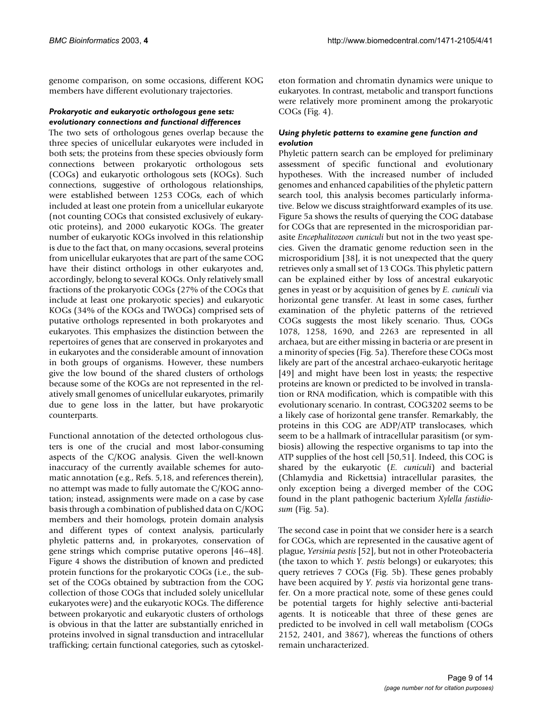genome comparison, on some occasions, different KOG members have different evolutionary trajectories.

#### *Prokaryotic and eukaryotic orthologous gene sets: evolutionary connections and functional differences*

The two sets of orthologous genes overlap because the three species of unicellular eukaryotes were included in both sets; the proteins from these species obviously form connections between prokaryotic orthologous sets (COGs) and eukaryotic orthologous sets (KOGs). Such connections, suggestive of orthologous relationships, were established between 1253 COGs, each of which included at least one protein from a unicellular eukaryote (not counting COGs that consisted exclusively of eukaryotic proteins), and 2000 eukaryotic KOGs. The greater number of eukaryotic KOGs involved in this relationship is due to the fact that, on many occasions, several proteins from unicellular eukaryotes that are part of the same COG have their distinct orthologs in other eukaryotes and, accordingly, belong to several KOGs. Only relatively small fractions of the prokaryotic COGs (27% of the COGs that include at least one prokaryotic species) and eukaryotic KOGs (34% of the KOGs and TWOGs) comprised sets of putative orthologs represented in both prokaryotes and eukaryotes. This emphasizes the distinction between the repertoires of genes that are conserved in prokaryotes and in eukaryotes and the considerable amount of innovation in both groups of organisms. However, these numbers give the low bound of the shared clusters of orthologs because some of the KOGs are not represented in the relatively small genomes of unicellular eukaryotes, primarily due to gene loss in the latter, but have prokaryotic counterparts.

Functional annotation of the detected orthologous clusters is one of the crucial and most labor-consuming aspects of the C/KOG analysis. Given the well-known inaccuracy of the currently available schemes for automatic annotation (e.g., Refs. 5,18, and references therein), no attempt was made to fully automate the C/KOG annotation; instead, assignments were made on a case by case basis through a combination of published data on C/KOG members and their homologs, protein domain analysis and different types of context analysis, particularly phyletic patterns and, in prokaryotes, conservation of gene strings which comprise putative operons [46–48]. Figure [4](#page-9-0) shows the distribution of known and predicted protein functions for the prokaryotic COGs (i.e., the subset of the COGs obtained by subtraction from the COG collection of those COGs that included solely unicellular eukaryotes were) and the eukaryotic KOGs. The difference between prokaryotic and eukaryotic clusters of orthologs is obvious in that the latter are substantially enriched in proteins involved in signal transduction and intracellular trafficking; certain functional categories, such as cytoskeleton formation and chromatin dynamics were unique to eukaryotes. In contrast, metabolic and transport functions were relatively more prominent among the prokaryotic COGs (Fig. [4](#page-9-0)).

#### *Using phyletic patterns to examine gene function and evolution*

Phyletic pattern search can be employed for preliminary assessment of specific functional and evolutionary hypotheses. With the increased number of included genomes and enhanced capabilities of the phyletic pattern search tool, this analysis becomes particularly informative. Below we discuss straightforward examples of its use. Figure 5a shows the results of querying the COG database for COGs that are represented in the microsporidian parasite *Encephalitozoon cuniculi* but not in the two yeast species. Given the dramatic genome reduction seen in the microsporidium [38], it is not unexpected that the query retrieves only a small set of 13 COGs. This phyletic pattern can be explained either by loss of ancestral eukaryotic genes in yeast or by acquisition of genes by *E. cuniculi* via horizontal gene transfer. At least in some cases, further examination of the phyletic patterns of the retrieved COGs suggests the most likely scenario. Thus, COGs 1078, 1258, 1690, and 2263 are represented in all archaea, but are either missing in bacteria or are present in a minority of species (Fig. 5a). Therefore these COGs most likely are part of the ancestral archaeo-eukaryotic heritage [49] and might have been lost in yeasts; the respective proteins are known or predicted to be involved in translation or RNA modification, which is compatible with this evolutionary scenario. In contrast, COG3202 seems to be a likely case of horizontal gene transfer. Remarkably, the proteins in this COG are ADP/ATP translocases, which seem to be a hallmark of intracellular parasitism (or symbiosis) allowing the respective organisms to tap into the ATP supplies of the host cell [50,51]. Indeed, this COG is shared by the eukaryotic (*E. cuniculi*) and bacterial (Chlamydia and Rickettsia) intracellular parasites, the only exception being a diverged member of the COG found in the plant pathogenic bacterium *Xylella fastidiosum* (Fig. 5a).

The second case in point that we consider here is a search for COGs, which are represented in the causative agent of plague, *Yersinia pestis* [52], but not in other Proteobacteria (the taxon to which *Y. pestis* belongs) or eukaryotes; this query retrieves 7 COGs (Fig. 5b). These genes probably have been acquired by *Y. pestis* via horizontal gene transfer. On a more practical note, some of these genes could be potential targets for highly selective anti-bacterial agents. It is noticeable that three of these genes are predicted to be involved in cell wall metabolism (COGs 2152, 2401, and 3867), whereas the functions of others remain uncharacterized.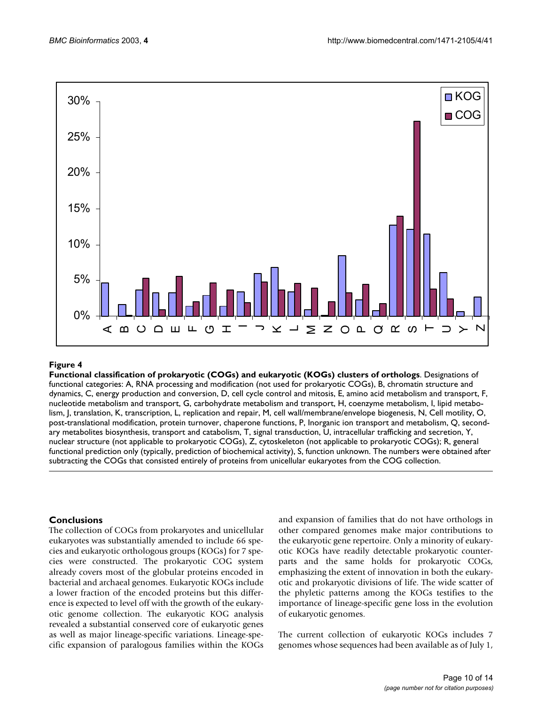<span id="page-9-0"></span>

# **Figure 4** Functional classification of probability (COGS) and eukaryotic (COGS) clusters of orthological clusters of orthological clusters of orthological clusters of orthological clusters of orthological clusters of orth

**Functional classification of prokaryotic (COGs) and eukaryotic (KOGs) clusters of orthologs**. Designations of functional categories: A, RNA processing and modification (not used for prokaryotic COGs), B, chromatin structure and dynamics, C, energy production and conversion, D, cell cycle control and mitosis, E, amino acid metabolism and transport, F, nucleotide metabolism and transport, G, carbohydrate metabolism and transport, H, coenzyme metabolism, I, lipid metabolism, J, translation, K, transcription, L, replication and repair, M, cell wall/membrane/envelope biogenesis, N, Cell motility, O, post-translational modification, protein turnover, chaperone functions, P, Inorganic ion transport and metabolism, Q, secondary metabolites biosynthesis, transport and catabolism, T, signal transduction, U, intracellular trafficking and secretion, Y, nuclear structure (not applicable to prokaryotic COGs), Z, cytoskeleton (not applicable to prokaryotic COGs); R, general functional prediction only (typically, prediction of biochemical activity), S, function unknown. The numbers were obtained after subtracting the COGs that consisted entirely of proteins from unicellular eukaryotes from the COG collection.

# **Conclusions**

The collection of COGs from prokaryotes and unicellular eukaryotes was substantially amended to include 66 species and eukaryotic orthologous groups (KOGs) for 7 species were constructed. The prokaryotic COG system already covers most of the globular proteins encoded in bacterial and archaeal genomes. Eukaryotic KOGs include a lower fraction of the encoded proteins but this difference is expected to level off with the growth of the eukaryotic genome collection. The eukaryotic KOG analysis revealed a substantial conserved core of eukaryotic genes as well as major lineage-specific variations. Lineage-specific expansion of paralogous families within the KOGs and expansion of families that do not have orthologs in other compared genomes make major contributions to the eukaryotic gene repertoire. Only a minority of eukaryotic KOGs have readily detectable prokaryotic counterparts and the same holds for prokaryotic COGs, emphasizing the extent of innovation in both the eukaryotic and prokaryotic divisions of life. The wide scatter of the phyletic patterns among the KOGs testifies to the importance of lineage-specific gene loss in the evolution of eukaryotic genomes.

The current collection of eukaryotic KOGs includes 7 genomes whose sequences had been available as of July 1,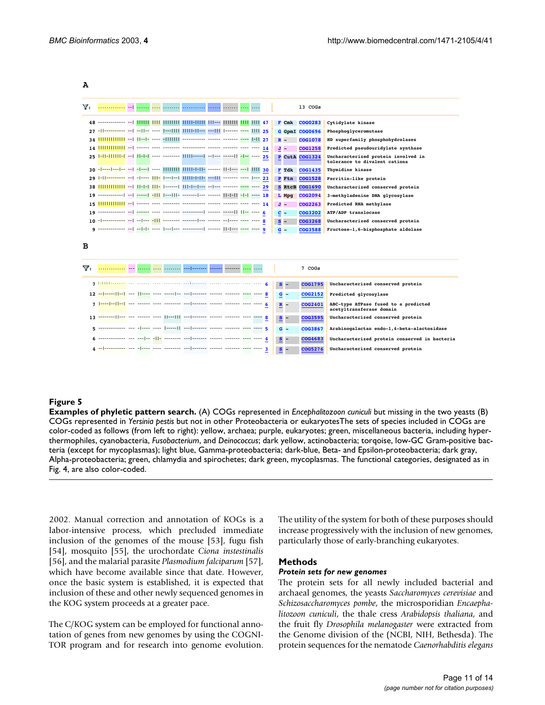**A**

| Y. |  |  |  |                                                                                                              |  |  |                         |                          | 13 COGs        |                                                                      |
|----|--|--|--|--------------------------------------------------------------------------------------------------------------|--|--|-------------------------|--------------------------|----------------|----------------------------------------------------------------------|
|    |  |  |  |                                                                                                              |  |  |                         | $F$ Cm <sub>k</sub>      | COG0283        | Cytidylate kinase                                                    |
|    |  |  |  |                                                                                                              |  |  |                         |                          | G GpmI COG0696 | Phosphoqlyceromutase                                                 |
|    |  |  |  |                                                                                                              |  |  |                         | $R -$                    | COG1078        | HD superfamily phosphohydrolases                                     |
|    |  |  |  |                                                                                                              |  |  |                         | J –                      | <b>COG1258</b> | Predicted pseudouridylate synthase                                   |
|    |  |  |  |                                                                                                              |  |  |                         | P CutA                   | COG1324        | Uncharacterized protein involved in<br>tolerance to divalent cations |
|    |  |  |  |                                                                                                              |  |  |                         | F Tdk                    | COG1435        | Thymidine kinase                                                     |
|    |  |  |  | 29  -  --------- --  - ---- <mark>   -</mark>  --- --       - -  - ---    ------- <mark>----</mark>  --- 23  |  |  |                         | P Ftn                    | <b>COG1528</b> | Ferritin-like protein                                                |
|    |  |  |  |                                                                                                              |  |  |                         | S RtcB                   | COG1690        | Uncharacterized conserved protein                                    |
|    |  |  |  |                                                                                                              |  |  |                         | L Mpg                    | COG2094        | 3-methyladenine DNA glycosylase                                      |
|    |  |  |  |                                                                                                              |  |  |                         | J –                      | COG2263        | Predicted RNA methylase                                              |
|    |  |  |  |                                                                                                              |  |  |                         | $C -$                    | COG3202        | ATP/ADP translocase                                                  |
|    |  |  |  | 10 -  -----------  --  -- --- <mark>-   </mark> -------- ------- --- ------ -- ---- <mark>----</mark> ---- 8 |  |  |                         | $S -$                    | COG3268        | Uncharacterized conserved protein                                    |
|    |  |  |  |                                                                                                              |  |  |                         |                          |                |                                                                      |
|    |  |  |  |                                                                                                              |  |  |                         | $G -$                    | COG3588        | Fructose-1, 6-bisphosphate aldolase                                  |
| в  |  |  |  |                                                                                                              |  |  |                         |                          | 7 COGs         |                                                                      |
|    |  |  |  |                                                                                                              |  |  | s.                      |                          | <b>COG1795</b> | Uncharacterized conserved protein                                    |
|    |  |  |  |                                                                                                              |  |  |                         | $G -$                    | COG2152        | Predicted qlycosylase                                                |
|    |  |  |  |                                                                                                              |  |  |                         | $R -$                    | COG2401        | ABC-type ATPase fused to a predicted<br>acetyltransferase domain     |
|    |  |  |  |                                                                                                              |  |  | $\overline{\mathbf{s}}$ |                          | COG3595        | Uncharacterized conserved protein                                    |
|    |  |  |  |                                                                                                              |  |  |                         | $G -$                    | COG3867        | Arabinoqalactan endo-1,4-beta-alactosidase                           |
|    |  |  |  | 6 ------------- --- <mark>--- -- -  -</mark> -------- --- ------- ------ ------- <mark>----</mark> ---- 4    |  |  | $\mathbf{s}$            | $\overline{\phantom{0}}$ | COG4683        | Uncharacterized protein conserved in bacteria                        |

#### **Figure 5**

**Examples of phyletic pattern search.** (A) COGs represented in *Encephalitozoon cuniculi* but missing in the two yeasts (B) COGs represented in *Yersinia pestis* but not in other Proteobacteria or eukaryotesThe sets of species included in COGs are color-coded as follows (from left to right): yellow, archaea; purple, eukaryotes; green, miscellaneous bacteria, including hyperthermophiles, cyanobacteria, *Fusobacterium*, and *Deinococcus*; dark yellow, actinobacteria; torqoise, low-GC Gram-positive bacteria (except for mycoplasmas); light blue, Gamma-proteobacteria; dark-blue, Beta- and Epsilon-proteobacteria; dark gray, Alpha-proteobacteria; green, chlamydia and spirochetes; dark green, mycoplasmas. The functional categories, designated as in Fig. [4,](#page-9-0) are also color-coded.

2002. Manual correction and annotation of KOGs is a labor-intensive process, which precluded immediate inclusion of the genomes of the mouse [53], fugu fish [54], mosquito [55], the urochordate *Ciona instestinalis* [56], and the malarial parasite *Plasmodium falciparum* [57], which have become available since that date. However, once the basic system is established, it is expected that inclusion of these and other newly sequenced genomes in the KOG system proceeds at a greater pace.

The C/KOG system can be employed for functional annotation of genes from new genomes by using the COGNI-TOR program and for research into genome evolution. The utility of the system for both of these purposes should increase progressively with the inclusion of new genomes, particularly those of early-branching eukaryotes.

#### **Methods**

#### *Protein sets for new genomes*

The protein sets for all newly included bacterial and archaeal genomes, the yeasts *Saccharomyces cerevisiae* and *Schizosaccharomyces pombe*, the microsporidian *Encaephalitozoon cuniculi*, the thale cress *Arabidopsis thaliana*, and the fruit fly *Drosophila melanogaster* were extracted from the Genome division of the (NCBI, NIH, Bethesda). The protein sequences for the nematode *Caenorhabditis elegans*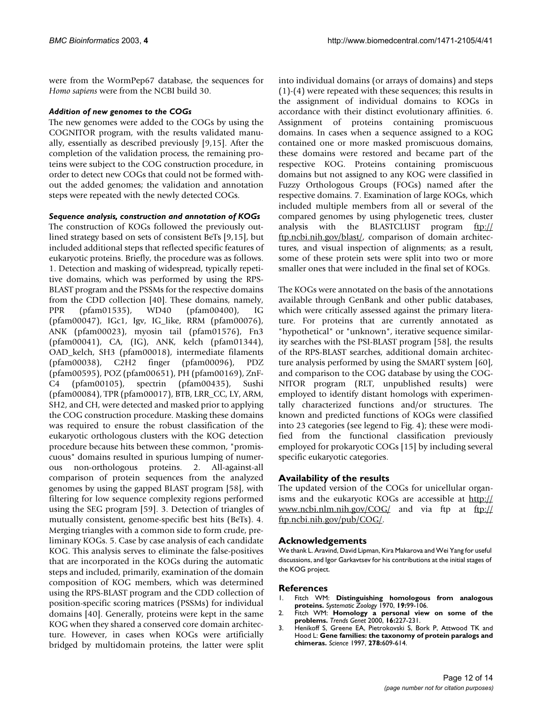were from the WormPep67 database, the sequences for *Homo sapiens* were from the NCBI build 30.

#### *Addition of new genomes to the COGs*

The new genomes were added to the COGs by using the COGNITOR program, with the results validated manually, essentially as described previously [9,15]. After the completion of the validation process, the remaining proteins were subject to the COG construction procedure, in order to detect new COGs that could not be formed without the added genomes; the validation and annotation steps were repeated with the newly detected COGs.

#### *Sequence analysis, construction and annotation of KOGs*

The construction of KOGs followed the previously outlined strategy based on sets of consistent BeTs [9,15], but included additional steps that reflected specific features of eukaryotic proteins. Briefly, the procedure was as follows. 1. Detection and masking of widespread, typically repetitive domains, which was performed by using the RPS-BLAST program and the PSSMs for the respective domains from the CDD collection [40]. These domains, namely, PPR (pfam01535), WD40 (pfam00400), IG (pfam00047), IGc1, Igv, IG\_like, RRM (pfam00076), ANK (pfam00023), myosin tail (pfam01576), Fn3 (pfam00041), CA, (IG), ANK, kelch (pfam01344), OAD\_kelch, SH3 (pfam00018), intermediate filaments (pfam00038), C2H2 finger (pfam00096), PDZ (pfam00595), POZ (pfam00651), PH (pfam00169), ZnF-C4 (pfam00105), spectrin (pfam00435), Sushi (pfam00084), TPR (pfam00017), BTB, LRR\_CC, LY, ARM, SH2, and CH, were detected and masked prior to applying the COG construction procedure. Masking these domains was required to ensure the robust classification of the eukaryotic orthologous clusters with the KOG detection procedure because hits between these common, "promiscuous" domains resulted in spurious lumping of numerous non-orthologous proteins. 2. All-against-all comparison of protein sequences from the analyzed genomes by using the gapped BLAST program [58], with filtering for low sequence complexity regions performed using the SEG program [59]. 3. Detection of triangles of mutually consistent, genome-specific best hits (BeTs). 4. Merging triangles with a common side to form crude, preliminary KOGs. 5. Case by case analysis of each candidate KOG. This analysis serves to eliminate the false-positives that are incorporated in the KOGs during the automatic steps and included, primarily, examination of the domain composition of KOG members, which was determined using the RPS-BLAST program and the CDD collection of position-specific scoring matrices (PSSMs) for individual domains [40]. Generally, proteins were kept in the same KOG when they shared a conserved core domain architecture. However, in cases when KOGs were artificially bridged by multidomain proteins, the latter were split into individual domains (or arrays of domains) and steps (1)-(4) were repeated with these sequences; this results in the assignment of individual domains to KOGs in accordance with their distinct evolutionary affinities. 6. Assignment of proteins containing promiscuous domains. In cases when a sequence assigned to a KOG contained one or more masked promiscuous domains, these domains were restored and became part of the respective KOG. Proteins containing promiscuous domains but not assigned to any KOG were classified in Fuzzy Orthologous Groups (FOGs) named after the respective domains. 7. Examination of large KOGs, which included multiple members from all or several of the compared genomes by using phylogenetic trees, cluster analysis with the BLASTCLUST program [ftp://](ftp://ftp.ncbi.nih.gov/blast/) [ftp.ncbi.nih.gov/blast/](ftp://ftp.ncbi.nih.gov/blast/), comparison of domain architectures, and visual inspection of alignments; as a result, some of these protein sets were split into two or more smaller ones that were included in the final set of KOGs.

The KOGs were annotated on the basis of the annotations available through GenBank and other public databases, which were critically assessed against the primary literature. For proteins that are currently annotated as "hypothetical" or "unknown", iterative sequence similarity searches with the PSI-BLAST program [58], the results of the RPS-BLAST searches, additional domain architecture analysis performed by using the SMART system [60], and comparison to the COG database by using the COG-NITOR program (RLT, unpublished results) were employed to identify distant homologs with experimentally characterized functions and/or structures. The known and predicted functions of KOGs were classified into 23 categories (see legend to Fig. [4](#page-9-0)); these were modified from the functional classification previously employed for prokaryotic COGs [15] by including several specific eukaryotic categories.

#### **Availability of the results**

The updated version of the COGs for unicellular organisms and the eukaryotic KOGs are accessible at [http://](http://www.ncbi.nlm.nih.gov/COG/) [www.ncbi.nlm.nih.gov/COG/](http://www.ncbi.nlm.nih.gov/COG/) and via ftp at [ftp://](ftp://ftp.ncbi.nih.gov/pub/COG/) [ftp.ncbi.nih.gov/pub/COG/.](ftp://ftp.ncbi.nih.gov/pub/COG/)

#### **Acknowledgements**

We thank L. Aravind, David Lipman, Kira Makarova and Wei Yang for useful discussions, and Igor Garkavtsev for his contributions at the initial stages of the KOG project.

#### **References**

- 1. Fitch WM: **[Distinguishing homologous from analogous](http://www.ncbi.nlm.nih.gov/entrez/query.fcgi?cmd=Retrieve&db=PubMed&dopt=Abstract&list_uids=5449325) [proteins.](http://www.ncbi.nlm.nih.gov/entrez/query.fcgi?cmd=Retrieve&db=PubMed&dopt=Abstract&list_uids=5449325)** *Systematic Zoology* 1970, **19:**99-106.
- 2. Fitch WM: **[Homology a personal view on some of the](http://www.ncbi.nlm.nih.gov/entrez/query.fcgi?cmd=Retrieve&db=PubMed&dopt=Abstract&list_uids=10782117) [problems](http://www.ncbi.nlm.nih.gov/entrez/query.fcgi?cmd=Retrieve&db=PubMed&dopt=Abstract&list_uids=10782117)[.](http://www.ncbi.nlm.nih.gov/entrez/query.fcgi?cmd=Retrieve&db=PubMed&dopt=Abstract&list_uids=10.1016/S0168-9525(00)02005-9)** *Trends Genet* 2000, **16:**227-231.
- 3. Henikoff S, Greene EA, Pietrokovski S, Bork P, Attwood TK and Hood L: **[Gene families: the taxonomy of protein paralogs and](http://www.ncbi.nlm.nih.gov/entrez/query.fcgi?cmd=Retrieve&db=PubMed&dopt=Abstract&list_uids=9381171) [chimeras](http://www.ncbi.nlm.nih.gov/entrez/query.fcgi?cmd=Retrieve&db=PubMed&dopt=Abstract&list_uids=9381171)[.](http://www.ncbi.nlm.nih.gov/entrez/query.fcgi?cmd=Retrieve&db=PubMed&dopt=Abstract&list_uids=10.1126/science.278.5338.609)** *Science* 1997, **278:**609-614.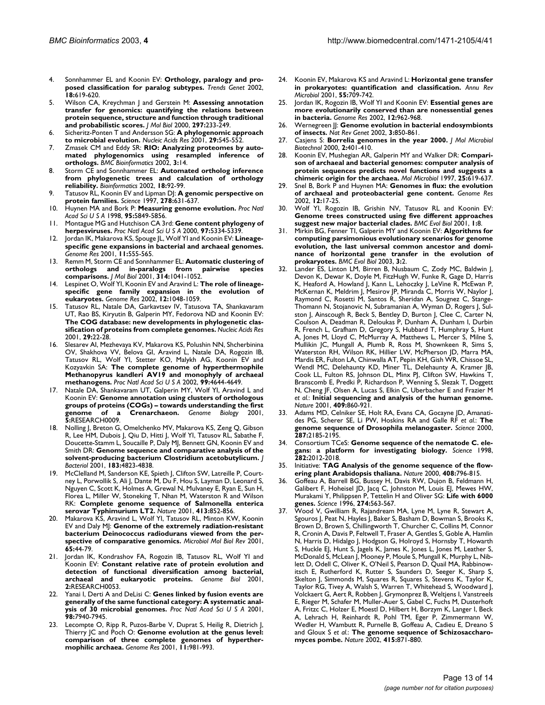- 4. Sonnhammer EL and Koonin EV: **[Orthology, paralogy and pro](http://www.ncbi.nlm.nih.gov/entrez/query.fcgi?cmd=Retrieve&db=PubMed&dopt=Abstract&list_uids=12446146)[posed classification for paralog subtypes](http://www.ncbi.nlm.nih.gov/entrez/query.fcgi?cmd=Retrieve&db=PubMed&dopt=Abstract&list_uids=12446146)[.](http://www.ncbi.nlm.nih.gov/entrez/query.fcgi?cmd=Retrieve&db=PubMed&dopt=Abstract&list_uids=10.1016/S0168-9525(02)02793-2)** *Trends Genet* 2002, **18:**619-620.
- 5. Wilson CA, Kreychman J and Gerstein M: **[Assessing annotation](http://www.ncbi.nlm.nih.gov/entrez/query.fcgi?cmd=Retrieve&db=PubMed&dopt=Abstract&list_uids=10704319) [transfer for genomics: quantifying the relations between](http://www.ncbi.nlm.nih.gov/entrez/query.fcgi?cmd=Retrieve&db=PubMed&dopt=Abstract&list_uids=10704319) protein sequence, structure and function through traditional [and probabilistic scores](http://www.ncbi.nlm.nih.gov/entrez/query.fcgi?cmd=Retrieve&db=PubMed&dopt=Abstract&list_uids=10704319)[.](http://www.ncbi.nlm.nih.gov/entrez/query.fcgi?cmd=Retrieve&db=PubMed&dopt=Abstract&list_uids=10.1006/jmbi.2000.3550)** *J Mol Biol* 2000, **297:**233-249.
- 6. Sicheritz-Ponten T and Andersson SG: **[A phylogenomic approach](http://www.ncbi.nlm.nih.gov/entrez/query.fcgi?cmd=Retrieve&db=PubMed&dopt=Abstract&list_uids=11139625) [to microbial evolution](http://www.ncbi.nlm.nih.gov/entrez/query.fcgi?cmd=Retrieve&db=PubMed&dopt=Abstract&list_uids=11139625)[.](http://www.ncbi.nlm.nih.gov/entrez/query.fcgi?cmd=Retrieve&db=PubMed&dopt=Abstract&list_uids=29656)** *Nucleic Acids Res* 2001, **29:**545-552.
- 7. Zmasek CM and Eddy SR: **[RIO: Analyzing proteomes by auto](http://www.ncbi.nlm.nih.gov/entrez/query.fcgi?cmd=Retrieve&db=PubMed&dopt=Abstract&list_uids=12028595)[mated phylogenomics using resampled inference of](http://www.ncbi.nlm.nih.gov/entrez/query.fcgi?cmd=Retrieve&db=PubMed&dopt=Abstract&list_uids=12028595) [orthologs](http://www.ncbi.nlm.nih.gov/entrez/query.fcgi?cmd=Retrieve&db=PubMed&dopt=Abstract&list_uids=12028595)[.](http://www.ncbi.nlm.nih.gov/entrez/query.fcgi?cmd=Retrieve&db=PubMed&dopt=Abstract&list_uids=116988)** *BMC Bioinformatics* 2002, **3:**14.
- 8. Storm CE and Sonnhammer EL: **[Automated ortholog inference](http://www.ncbi.nlm.nih.gov/entrez/query.fcgi?cmd=Retrieve&db=PubMed&dopt=Abstract&list_uids=11836216) [from phylogenetic trees and calculation of orthology](http://www.ncbi.nlm.nih.gov/entrez/query.fcgi?cmd=Retrieve&db=PubMed&dopt=Abstract&list_uids=11836216) [reliability](http://www.ncbi.nlm.nih.gov/entrez/query.fcgi?cmd=Retrieve&db=PubMed&dopt=Abstract&list_uids=11836216)[.](http://www.ncbi.nlm.nih.gov/entrez/query.fcgi?cmd=Retrieve&db=PubMed&dopt=Abstract&list_uids=10.1093/bioinformatics/18.1.92)** *Bioinformatics* 2002, **18:**92-99.
- 9. Tatusov RL, Koonin EV and Lipman DJ: **[A genomic perspective on](http://www.ncbi.nlm.nih.gov/entrez/query.fcgi?cmd=Retrieve&db=PubMed&dopt=Abstract&list_uids=9381173) [protein families](http://www.ncbi.nlm.nih.gov/entrez/query.fcgi?cmd=Retrieve&db=PubMed&dopt=Abstract&list_uids=9381173)[.](http://www.ncbi.nlm.nih.gov/entrez/query.fcgi?cmd=Retrieve&db=PubMed&dopt=Abstract&list_uids=10.1126/science.278.5338.631)** *Science* 1997, **278:**631-637.
- 10. Huynen MA and Bork P: **[Measuring genome evolution](http://www.ncbi.nlm.nih.gov/entrez/query.fcgi?cmd=Retrieve&db=PubMed&dopt=Abstract&list_uids=9600883)[.](http://www.ncbi.nlm.nih.gov/entrez/query.fcgi?cmd=Retrieve&db=PubMed&dopt=Abstract&list_uids=34486)** *Proc Natl Acad Sci U S A* 1998, **95:**5849-5856.
- 11. Montague MG and Hutchison CA 3rd: **[Gene content phylogeny of](http://www.ncbi.nlm.nih.gov/entrez/query.fcgi?cmd=Retrieve&db=PubMed&dopt=Abstract&list_uids=10805793) [herpesviruses](http://www.ncbi.nlm.nih.gov/entrez/query.fcgi?cmd=Retrieve&db=PubMed&dopt=Abstract&list_uids=10805793)[.](http://www.ncbi.nlm.nih.gov/entrez/query.fcgi?cmd=Retrieve&db=PubMed&dopt=Abstract&list_uids=25829)** *Proc Natl Acad Sci U S A* 2000, **97:**5334-5339.
- 12. Jordan IK, Makarova KS, Spouge JL, Wolf YI and Koonin EV: **[Lineage](http://www.ncbi.nlm.nih.gov/entrez/query.fcgi?cmd=Retrieve&db=PubMed&dopt=Abstract&list_uids=11282971)[specific gene expansions in bacterial and archaeal genomes](http://www.ncbi.nlm.nih.gov/entrez/query.fcgi?cmd=Retrieve&db=PubMed&dopt=Abstract&list_uids=11282971)[.](http://www.ncbi.nlm.nih.gov/entrez/query.fcgi?cmd=Retrieve&db=PubMed&dopt=Abstract&list_uids=10.1101/gr.GR-1660R)** *Genome Res* 2001, **11:**555-565.
- 13. Remm M, Storm CE and Sonnhammer EL: **[Automatic clustering of](http://www.ncbi.nlm.nih.gov/entrez/query.fcgi?cmd=Retrieve&db=PubMed&dopt=Abstract&list_uids=11743721) [orthologs and in-paralogs from pairwise species](http://www.ncbi.nlm.nih.gov/entrez/query.fcgi?cmd=Retrieve&db=PubMed&dopt=Abstract&list_uids=11743721) [comparisons](http://www.ncbi.nlm.nih.gov/entrez/query.fcgi?cmd=Retrieve&db=PubMed&dopt=Abstract&list_uids=11743721)[.](http://www.ncbi.nlm.nih.gov/entrez/query.fcgi?cmd=Retrieve&db=PubMed&dopt=Abstract&list_uids=10.1006/jmbi.2000.5197)** *J Mol Biol* 2001, **314:**1041-1052.
- 14. Lespinet O, Wolf YI, Koonin EV and Aravind L: **[The role of lineage](http://www.ncbi.nlm.nih.gov/entrez/query.fcgi?cmd=Retrieve&db=PubMed&dopt=Abstract&list_uids=12097341)[specific gene family expansion in the evolution of](http://www.ncbi.nlm.nih.gov/entrez/query.fcgi?cmd=Retrieve&db=PubMed&dopt=Abstract&list_uids=12097341) [eukaryotes](http://www.ncbi.nlm.nih.gov/entrez/query.fcgi?cmd=Retrieve&db=PubMed&dopt=Abstract&list_uids=12097341)[.](http://www.ncbi.nlm.nih.gov/entrez/query.fcgi?cmd=Retrieve&db=PubMed&dopt=Abstract&list_uids=10.1101/gr.174302)** *Genome Res* 2002, **12:**1048-1059.
- 15. Tatusov RL, Natale DA, Garkavtsev IV, Tatusova TA, Shankavaram UT, Rao BS, Kiryutin B, Galperin MY, Fedorova ND and Koonin EV: **[The COG database: new developments in phylogenetic clas](http://www.ncbi.nlm.nih.gov/entrez/query.fcgi?cmd=Retrieve&db=PubMed&dopt=Abstract&list_uids=11125040)[sification of proteins from complete genomes](http://www.ncbi.nlm.nih.gov/entrez/query.fcgi?cmd=Retrieve&db=PubMed&dopt=Abstract&list_uids=11125040)[.](http://www.ncbi.nlm.nih.gov/entrez/query.fcgi?cmd=Retrieve&db=PubMed&dopt=Abstract&list_uids=29819)** *Nucleic Acids Res* 2001, **29:**22-28.
- Slesarev AI, Mezhevaya KV, Makarova KS, Polushin NN, Shcherbinina OV, Shakhova VV, Belova GI, Aravind L, Natale DA, Rogozin IB, Tatusov RL, Wolf YI, Stetter KO, Malykh AG, Koonin EV and Kozyavkin SA: **[The complete genome of hyperthermophile](http://www.ncbi.nlm.nih.gov/entrez/query.fcgi?cmd=Retrieve&db=PubMed&dopt=Abstract&list_uids=11930014) [Methanopyrus kandleri AV19 and monophyly of archaeal](http://www.ncbi.nlm.nih.gov/entrez/query.fcgi?cmd=Retrieve&db=PubMed&dopt=Abstract&list_uids=11930014) [methanogens](http://www.ncbi.nlm.nih.gov/entrez/query.fcgi?cmd=Retrieve&db=PubMed&dopt=Abstract&list_uids=11930014)[.](http://www.ncbi.nlm.nih.gov/entrez/query.fcgi?cmd=Retrieve&db=PubMed&dopt=Abstract&list_uids=123701)** *Proc Natl Acad Sci U S A* 2002, **99:**4644-4649.
- 17. Natale DA, Shankavaram UT, Galperin MY, Wolf YI, Aravind L and Koonin EV: **[Genome annotation using clusters of orthologous](http://www.ncbi.nlm.nih.gov/entrez/query.fcgi?cmd=Retrieve&db=PubMed&dopt=Abstract&list_uids=15027) [groups of proteins \(COGs\) – towards understanding the first](http://www.ncbi.nlm.nih.gov/entrez/query.fcgi?cmd=Retrieve&db=PubMed&dopt=Abstract&list_uids=15027) [genome of a Crenarchaeon](http://www.ncbi.nlm.nih.gov/entrez/query.fcgi?cmd=Retrieve&db=PubMed&dopt=Abstract&list_uids=15027)[.](http://www.ncbi.nlm.nih.gov/entrez/query.fcgi?cmd=Retrieve&db=PubMed&dopt=Abstract&list_uids=11178258)** *Genome Biology* 2001, **genome** of a<br>**5:**RESEARCH0009.
- 18. Nolling J, Breton G, Omelchenko MV, Makarova KS, Zeng Q, Gibson R, Lee HM, Dubois J, Qiu D, Hitti J, Wolf YI, Tatusov RL, Sabathe F, Doucette-Stamm L, Soucaille P, Daly MJ, Bennett GN, Koonin EV and Smith DR: **[Genome sequence and comparative analysis of the](http://www.ncbi.nlm.nih.gov/entrez/query.fcgi?cmd=Retrieve&db=PubMed&dopt=Abstract&list_uids=11466286) [solvent-producing bacterium Clostridium acetobutylicum](http://www.ncbi.nlm.nih.gov/entrez/query.fcgi?cmd=Retrieve&db=PubMed&dopt=Abstract&list_uids=11466286)[.](http://www.ncbi.nlm.nih.gov/entrez/query.fcgi?cmd=Retrieve&db=PubMed&dopt=Abstract&list_uids=99537)** *J Bacteriol* 2001, **183:**4823-4838.
- 19. McClelland M, Sanderson KE, Spieth J, Clifton SW, Latreille P, Courtney L, Porwollik S, Ali J, Dante M, Du F, Hou S, Layman D, Leonard S, Nguyen C, Scott K, Holmes A, Grewal N, Mulvaney E, Ryan E, Sun H, Florea L, Miller W, Stoneking T, Nhan M, Waterston R and Wilson RK: **[Complete genome sequence of Salmonella enterica](http://www.ncbi.nlm.nih.gov/entrez/query.fcgi?cmd=Retrieve&db=PubMed&dopt=Abstract&list_uids=11677609) [serovar Typhimurium LT2](http://www.ncbi.nlm.nih.gov/entrez/query.fcgi?cmd=Retrieve&db=PubMed&dopt=Abstract&list_uids=11677609)[.](http://www.ncbi.nlm.nih.gov/entrez/query.fcgi?cmd=Retrieve&db=PubMed&dopt=Abstract&list_uids=10.1038/35101614)** *Nature* 2001, **413:**852-856.
- 20. Makarova KS, Aravind L, Wolf YI, Tatusov RL, Minton KW, Koonin EV and Daly MJ: **[Genome of the extremely radiation-resistant](http://www.ncbi.nlm.nih.gov/entrez/query.fcgi?cmd=Retrieve&db=PubMed&dopt=Abstract&list_uids=11238985) [bacterium Deinococcus radiodurans viewed from the per](http://www.ncbi.nlm.nih.gov/entrez/query.fcgi?cmd=Retrieve&db=PubMed&dopt=Abstract&list_uids=11238985)[spective of comparative genomics](http://www.ncbi.nlm.nih.gov/entrez/query.fcgi?cmd=Retrieve&db=PubMed&dopt=Abstract&list_uids=11238985)[.](http://www.ncbi.nlm.nih.gov/entrez/query.fcgi?cmd=Retrieve&db=PubMed&dopt=Abstract&list_uids=99018)** *Microbiol Mol Biol Rev* 2001, **65:**44-79.
- 21. Jordan IK, Kondrashov FA, Rogozin IB, Tatusov RL, Wolf YI and Koonin EV: **[Constant relative rate of protein evolution and](http://www.ncbi.nlm.nih.gov/entrez/query.fcgi?cmd=Retrieve&db=PubMed&dopt=Abstract&list_uids=11790256) [detection of functional diversification among bacterial,](http://www.ncbi.nlm.nih.gov/entrez/query.fcgi?cmd=Retrieve&db=PubMed&dopt=Abstract&list_uids=11790256) [archaeal and eukaryotic proteins](http://www.ncbi.nlm.nih.gov/entrez/query.fcgi?cmd=Retrieve&db=PubMed&dopt=Abstract&list_uids=11790256)[.](http://www.ncbi.nlm.nih.gov/entrez/query.fcgi?cmd=Retrieve&db=PubMed&dopt=Abstract&list_uids=64838)** *Genome Biol* 2001, **2:**RESEARCH0053.
- 22. Yanai I, Derti A and DeLisi C: **[Genes linked by fusion events are](http://www.ncbi.nlm.nih.gov/entrez/query.fcgi?cmd=Retrieve&db=PubMed&dopt=Abstract&list_uids=11438739) [generally of the same functional category: A systematic anal](http://www.ncbi.nlm.nih.gov/entrez/query.fcgi?cmd=Retrieve&db=PubMed&dopt=Abstract&list_uids=11438739)[ysis of 30 microbial genomes](http://www.ncbi.nlm.nih.gov/entrez/query.fcgi?cmd=Retrieve&db=PubMed&dopt=Abstract&list_uids=11438739)[.](http://www.ncbi.nlm.nih.gov/entrez/query.fcgi?cmd=Retrieve&db=PubMed&dopt=Abstract&list_uids=35447)** *Proc Natl Acad Sci U S A* 2001, **98:**7940-7945.
- 23. Lecompte O, Ripp R, Puzos-Barbe V, Duprat S, Heilig R, Dietrich J, Thierry JC and Poch O: **[Genome evolution at the genus level:](http://www.ncbi.nlm.nih.gov/entrez/query.fcgi?cmd=Retrieve&db=PubMed&dopt=Abstract&list_uids=11381026) [comparison of three complete genomes of hyperther](http://www.ncbi.nlm.nih.gov/entrez/query.fcgi?cmd=Retrieve&db=PubMed&dopt=Abstract&list_uids=11381026)[mophilic archaea](http://www.ncbi.nlm.nih.gov/entrez/query.fcgi?cmd=Retrieve&db=PubMed&dopt=Abstract&list_uids=11381026)[.](http://www.ncbi.nlm.nih.gov/entrez/query.fcgi?cmd=Retrieve&db=PubMed&dopt=Abstract&list_uids=10.1101/gr.GR1653R)** *Genome Res* 2001, **11:**981-993.
- 24. Koonin EV, Makarova KS and Aravind L: **[Horizontal gene transfer](http://www.ncbi.nlm.nih.gov/entrez/query.fcgi?cmd=Retrieve&db=PubMed&dopt=Abstract&list_uids=11544372) [in prokaryotes: quantification and classification](http://www.ncbi.nlm.nih.gov/entrez/query.fcgi?cmd=Retrieve&db=PubMed&dopt=Abstract&list_uids=11544372)[.](http://www.ncbi.nlm.nih.gov/entrez/query.fcgi?cmd=Retrieve&db=PubMed&dopt=Abstract&list_uids=10.1146/annurev.micro.55.1.709)** *Annu Rev Microbiol* 2001, **55:**709-742.
- 25. Jordan IK, Rogozin IB, Wolf YI and Koonin EV: **[Essential genes are](http://www.ncbi.nlm.nih.gov/entrez/query.fcgi?cmd=Retrieve&db=PubMed&dopt=Abstract&list_uids=12045149) [more evolutionarily conserved than are nonessential genes](http://www.ncbi.nlm.nih.gov/entrez/query.fcgi?cmd=Retrieve&db=PubMed&dopt=Abstract&list_uids=12045149) [in bacteria](http://www.ncbi.nlm.nih.gov/entrez/query.fcgi?cmd=Retrieve&db=PubMed&dopt=Abstract&list_uids=12045149)[.](http://www.ncbi.nlm.nih.gov/entrez/query.fcgi?cmd=Retrieve&db=PubMed&dopt=Abstract&list_uids=10.1101/gr.87702. Article published online before print in May 2002)** *Genome Res* 2002, **12:**962-968.
- 26. Wernegreen JJ: **[Genome evolution in bacterial endosymbionts](http://www.ncbi.nlm.nih.gov/entrez/query.fcgi?cmd=Retrieve&db=PubMed&dopt=Abstract&list_uids=12415315) [of insects](http://www.ncbi.nlm.nih.gov/entrez/query.fcgi?cmd=Retrieve&db=PubMed&dopt=Abstract&list_uids=12415315)[.](http://www.ncbi.nlm.nih.gov/entrez/query.fcgi?cmd=Retrieve&db=PubMed&dopt=Abstract&list_uids=10.1038/nrg931)** *Nat Rev Genet* 2002, **3:**850-861.
- 27. Casjens S: **[Borrelia genomes in the year 2000.](http://www.ncbi.nlm.nih.gov/entrez/query.fcgi?cmd=Retrieve&db=PubMed&dopt=Abstract&list_uids=11075912)** *J Mol Microbiol Biotechnol* 2000, **2:**401-410.
- 28. Koonin EV, Mushegian AR, Galperin MY and Walker DR: **[Compari](http://www.ncbi.nlm.nih.gov/entrez/query.fcgi?cmd=Retrieve&db=PubMed&dopt=Abstract&list_uids=9379893)son of archaeal and bacterial genomes: computer analysis of [protein sequences predicts novel functions and suggests a](http://www.ncbi.nlm.nih.gov/entrez/query.fcgi?cmd=Retrieve&db=PubMed&dopt=Abstract&list_uids=9379893) [chimeric origin for the archaea.](http://www.ncbi.nlm.nih.gov/entrez/query.fcgi?cmd=Retrieve&db=PubMed&dopt=Abstract&list_uids=9379893)** *Mol Microbiol* 1997, **25:**619-637.
- 29. Snel B, Bork P and Huynen MA: **[Genomes in flux: the evolution](http://www.ncbi.nlm.nih.gov/entrez/query.fcgi?cmd=Retrieve&db=PubMed&dopt=Abstract&list_uids=11779827) [of archaeal and proteobacterial gene content](http://www.ncbi.nlm.nih.gov/entrez/query.fcgi?cmd=Retrieve&db=PubMed&dopt=Abstract&list_uids=11779827)[.](http://www.ncbi.nlm.nih.gov/entrez/query.fcgi?cmd=Retrieve&db=PubMed&dopt=Abstract&list_uids=10.1101/gr.176501)** *Genome Res* 2002, **12:**17-25.
- Wolf YI, Rogozin IB, Grishin NV, Tatusov RL and Koonin EV: **[Genome trees constructed using five different approaches](http://www.ncbi.nlm.nih.gov/entrez/query.fcgi?cmd=Retrieve&db=PubMed&dopt=Abstract&list_uids=11734060) [suggest new major bacterial clades](http://www.ncbi.nlm.nih.gov/entrez/query.fcgi?cmd=Retrieve&db=PubMed&dopt=Abstract&list_uids=11734060)[.](http://www.ncbi.nlm.nih.gov/entrez/query.fcgi?cmd=Retrieve&db=PubMed&dopt=Abstract&list_uids=60490)** *BMC Evol Biol* 2001, **1:**8.
- 31. Mirkin BG, Fenner TI, Galperin MY and Koonin EV: **[Algorithms for](http://www.ncbi.nlm.nih.gov/entrez/query.fcgi?cmd=Retrieve&db=PubMed&dopt=Abstract&list_uids=12515582) computing parsimonious evolutionary scenarios for genome evolution, the last universal common ancestor and domi[nance of horizontal gene transfer in the evolution of](http://www.ncbi.nlm.nih.gov/entrez/query.fcgi?cmd=Retrieve&db=PubMed&dopt=Abstract&list_uids=12515582) [prokaryotes](http://www.ncbi.nlm.nih.gov/entrez/query.fcgi?cmd=Retrieve&db=PubMed&dopt=Abstract&list_uids=12515582)[.](http://www.ncbi.nlm.nih.gov/entrez/query.fcgi?cmd=Retrieve&db=PubMed&dopt=Abstract&list_uids=149225)** *BMC Evol Biol* 2003, **3:**2.
- 32. Lander ES, Linton LM, Birren B, Nusbaum C, Zody MC, Baldwin J, Devon K, Dewar K, Doyle M, FitzHugh W, Funke R, Gage D, Harris K, Heaford A, Howland J, Kann L, Lehoczky J, LeVine R, McEwan P, McKernan K, Meldrim J, Mesirov JP, Miranda C, Morris W, Naylor J, Raymond C, Rosetti M, Santos R, Sheridan A, Sougnez C, Stange-Thomann N, Stojanovic N, Subramanian A, Wyman D, Rogers J, Sulston J, Ainscough R, Beck S, Bentley D, Burton J, Clee C, Carter N, Coulson A, Deadman R, Deloukas P, Dunham A, Dunham I, Durbin R, French L, Grafham D, Gregory S, Hubbard T, Humphray S, Hunt A, Jones M, Lloyd C, McMurray A, Matthews L, Mercer S, Milne S, Mullikin JC, Mungall A, Plumb R, Ross M, Shownkeen R, Sims S, Waterston RH, Wilson RK, Hillier LW, McPherson JD, Marra MA, Mardis ER, Fulton LA, Chinwalla AT, Pepin KH, Gish WR, Chissoe SL, Wendl MC, Delehaunty KD, Miner TL, Delehaunty A, Kramer JB, Cook LL, Fulton RS, Johnson DL, Minx PJ, Clifton SW, Hawkins T, Branscomb E, Predki P, Richardson P, Wenning S, Slezak T, Doggett N, Cheng JF, Olsen A, Lucas S, Elkin C, Uberbacher E and Frazier M *et al.*: **[Initial sequencing and analysis of the human genome](http://www.ncbi.nlm.nih.gov/entrez/query.fcgi?cmd=Retrieve&db=PubMed&dopt=Abstract&list_uids=11237011)[.](http://www.ncbi.nlm.nih.gov/entrez/query.fcgi?cmd=Retrieve&db=PubMed&dopt=Abstract&list_uids=10.1038/35057062)** *Nature* 2001, **409:**860-921.
- 33. Adams MD, Celniker SE, Holt RA, Evans CA, Gocayne JD, Amanatides PG, Scherer SE, Li PW, Hoskins RA and Galle RF *et al.*: **[The](http://www.ncbi.nlm.nih.gov/entrez/query.fcgi?cmd=Retrieve&db=PubMed&dopt=Abstract&list_uids=10731132) [genome sequence of Drosophila melanogaster](http://www.ncbi.nlm.nih.gov/entrez/query.fcgi?cmd=Retrieve&db=PubMed&dopt=Abstract&list_uids=10731132)[.](http://www.ncbi.nlm.nih.gov/entrez/query.fcgi?cmd=Retrieve&db=PubMed&dopt=Abstract&list_uids=10.1126/science.287.5461.2185)** *Science* 2000, **287:**2185-2195.
- 34. Consortium TCeS: **[Genome sequence of the nematode C. ele](http://www.ncbi.nlm.nih.gov/entrez/query.fcgi?cmd=Retrieve&db=PubMed&dopt=Abstract&list_uids=9851916)[gans: a platform for investigating biology](http://www.ncbi.nlm.nih.gov/entrez/query.fcgi?cmd=Retrieve&db=PubMed&dopt=Abstract&list_uids=9851916)[.](http://www.ncbi.nlm.nih.gov/entrez/query.fcgi?cmd=Retrieve&db=PubMed&dopt=Abstract&list_uids=10.1126/science.282.5396.2012)** *Science* 1998, **282:**2012-2018.
- 35. Initiative: **[TAG Analysis of the genome sequence of the flow](http://www.ncbi.nlm.nih.gov/entrez/query.fcgi?cmd=Retrieve&db=PubMed&dopt=Abstract&list_uids=11130711)[ering plant Arabidopsis thaliana](http://www.ncbi.nlm.nih.gov/entrez/query.fcgi?cmd=Retrieve&db=PubMed&dopt=Abstract&list_uids=11130711)[.](http://www.ncbi.nlm.nih.gov/entrez/query.fcgi?cmd=Retrieve&db=PubMed&dopt=Abstract&list_uids=10.1038/35048692)** *Nature* 2000, **408:**796-815.
- 36. Goffeau A, Barrell BG, Bussey H, Davis RW, Dujon B, Feldmann H, Galibert F, Hoheisel JD, Jacq C, Johnston M, Louis EJ, Mewes HW, Murakami Y, Philippsen P, Tettelin H and Oliver SG: **[Life with 6000](http://www.ncbi.nlm.nih.gov/entrez/query.fcgi?cmd=Retrieve&db=PubMed&dopt=Abstract&list_uids=8849441) [genes](http://www.ncbi.nlm.nih.gov/entrez/query.fcgi?cmd=Retrieve&db=PubMed&dopt=Abstract&list_uids=8849441)[.](http://www.ncbi.nlm.nih.gov/entrez/query.fcgi?cmd=Retrieve&db=PubMed&dopt=Abstract&list_uids=10.1126/science.274.5287.546)** *Science* 1996, **274:**563-567.
- 37. Wood V, Gwilliam R, Rajandream MA, Lyne M, Lyne R, Stewart A, Sgouros J, Peat N, Hayles J, Baker S, Basham D, Bowman S, Brooks K, Brown D, Brown S, Chillingworth T, Churcher C, Collins M, Connor R, Cronin A, Davis P, Feltwell T, Fraser A, Gentles S, Goble A, Hamlin N, Harris D, Hidalgo J, Hodgson G, Holroyd S, Hornsby T, Howarth S, Huckle EJ, Hunt S, Jagels K, James K, Jones L, Jones M, Leather S, McDonald S, McLean J, Mooney P, Moule S, Mungall K, Murphy L, Niblett D, Odell C, Oliver K, O'Neil S, Pearson D, Quail MA, Rabbinowitsch E, Rutherford K, Rutter S, Saunders D, Seeger K, Sharp S, Skelton J, Simmonds M, Squares R, Squares S, Stevens K, Taylor K, Taylor RG, Tivey A, Walsh S, Warren T, Whitehead S, Woodward J, Volckaert G, Aert R, Robben J, Grymonprez B, Weltjens I, Vanstreels E, Rieger M, Schafer M, Muller-Auer S, Gabel C, Fuchs M, Dusterhoft A, Fritzc C, Holzer E, Moestl D, Hilbert H, Borzym K, Langer I, Beck A, Lehrach H, Reinhardt R, Pohl TM, Eger P, Zimmermann W, Wedler H, Wambutt R, Purnelle B, Goffeau A, Cadieu E, Dreano S and Gloux S *et al.*: **[The genome sequence of Schizosaccharo](http://www.ncbi.nlm.nih.gov/entrez/query.fcgi?cmd=Retrieve&db=PubMed&dopt=Abstract&list_uids=11859360)[myces pombe](http://www.ncbi.nlm.nih.gov/entrez/query.fcgi?cmd=Retrieve&db=PubMed&dopt=Abstract&list_uids=11859360)[.](http://www.ncbi.nlm.nih.gov/entrez/query.fcgi?cmd=Retrieve&db=PubMed&dopt=Abstract&list_uids=10.1038/nature724)** *Nature* 2002, **415:**871-880.